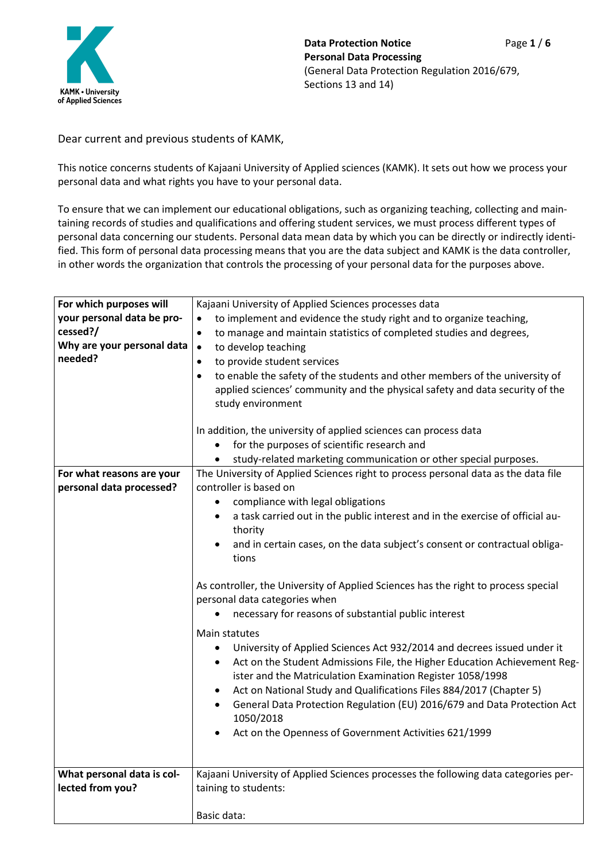

Dear current and previous students of KAMK,

This notice concerns students of Kajaani University of Applied sciences (KAMK). It sets out how we process your personal data and what rights you have to your personal data.

To ensure that we can implement our educational obligations, such as organizing teaching, collecting and maintaining records of studies and qualifications and offering student services, we must process different types of personal data concerning our students. Personal data mean data by which you can be directly or indirectly identified. This form of personal data processing means that you are the data subject and KAMK is the data controller, in other words the organization that controls the processing of your personal data for the purposes above.

| For which purposes will    | Kajaani University of Applied Sciences processes data                                    |  |  |  |  |
|----------------------------|------------------------------------------------------------------------------------------|--|--|--|--|
| your personal data be pro- | to implement and evidence the study right and to organize teaching,                      |  |  |  |  |
| cessed?/                   | to manage and maintain statistics of completed studies and degrees,<br>$\bullet$         |  |  |  |  |
| Why are your personal data | to develop teaching<br>$\bullet$                                                         |  |  |  |  |
| needed?                    | to provide student services<br>$\bullet$                                                 |  |  |  |  |
|                            | to enable the safety of the students and other members of the university of<br>$\bullet$ |  |  |  |  |
|                            | applied sciences' community and the physical safety and data security of the             |  |  |  |  |
|                            | study environment                                                                        |  |  |  |  |
|                            |                                                                                          |  |  |  |  |
|                            | In addition, the university of applied sciences can process data                         |  |  |  |  |
|                            | for the purposes of scientific research and                                              |  |  |  |  |
|                            | study-related marketing communication or other special purposes.                         |  |  |  |  |
| For what reasons are your  | The University of Applied Sciences right to process personal data as the data file       |  |  |  |  |
| personal data processed?   | controller is based on                                                                   |  |  |  |  |
|                            | compliance with legal obligations                                                        |  |  |  |  |
|                            | a task carried out in the public interest and in the exercise of official au-            |  |  |  |  |
|                            | thority                                                                                  |  |  |  |  |
|                            | and in certain cases, on the data subject's consent or contractual obliga-               |  |  |  |  |
|                            | tions                                                                                    |  |  |  |  |
|                            | As controller, the University of Applied Sciences has the right to process special       |  |  |  |  |
|                            |                                                                                          |  |  |  |  |
|                            | personal data categories when                                                            |  |  |  |  |
|                            | necessary for reasons of substantial public interest                                     |  |  |  |  |
|                            | Main statutes                                                                            |  |  |  |  |
|                            |                                                                                          |  |  |  |  |
|                            | University of Applied Sciences Act 932/2014 and decrees issued under it<br>$\bullet$     |  |  |  |  |
|                            | Act on the Student Admissions File, the Higher Education Achievement Reg-<br>٠           |  |  |  |  |
|                            | ister and the Matriculation Examination Register 1058/1998                               |  |  |  |  |
|                            | Act on National Study and Qualifications Files 884/2017 (Chapter 5)                      |  |  |  |  |
|                            | General Data Protection Regulation (EU) 2016/679 and Data Protection Act<br>$\bullet$    |  |  |  |  |
|                            | 1050/2018                                                                                |  |  |  |  |
|                            | Act on the Openness of Government Activities 621/1999                                    |  |  |  |  |
|                            |                                                                                          |  |  |  |  |
|                            |                                                                                          |  |  |  |  |
| What personal data is col- | Kajaani University of Applied Sciences processes the following data categories per-      |  |  |  |  |
| lected from you?           | taining to students:                                                                     |  |  |  |  |
|                            |                                                                                          |  |  |  |  |
|                            | Basic data:                                                                              |  |  |  |  |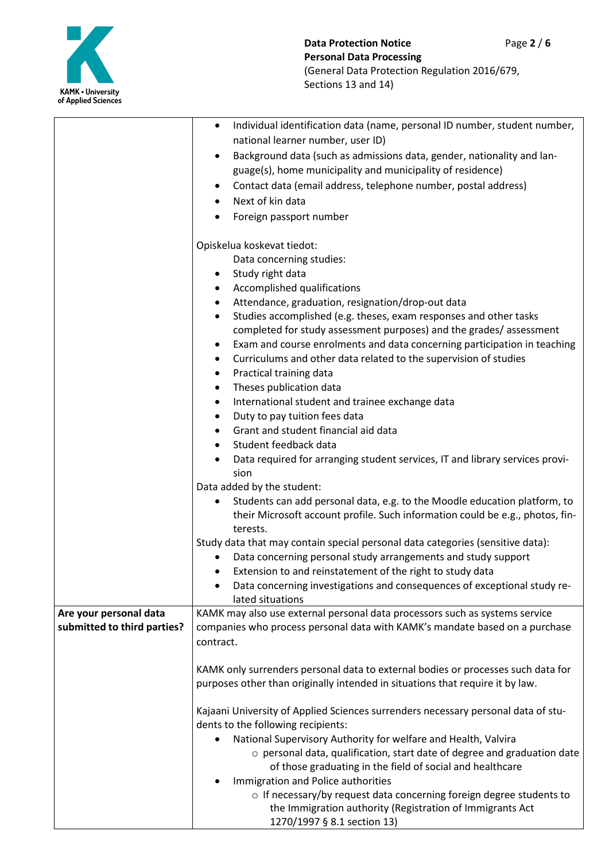

| national learner number, user ID)<br>Background data (such as admissions data, gender, nationality and lan-<br>$\bullet$<br>guage(s), home municipality and municipality of residence)<br>Contact data (email address, telephone number, postal address)<br>٠<br>Next of kin data<br>$\bullet$<br>Foreign passport number<br>٠<br>Opiskelua koskevat tiedot:<br>Data concerning studies:<br>Study right data<br>$\bullet$<br>Accomplished qualifications<br>$\bullet$<br>Attendance, graduation, resignation/drop-out data<br>٠<br>Studies accomplished (e.g. theses, exam responses and other tasks<br>$\bullet$<br>completed for study assessment purposes) and the grades/assessment<br>Exam and course enrolments and data concerning participation in teaching<br>٠<br>Curriculums and other data related to the supervision of studies<br>٠<br>Practical training data<br>$\bullet$<br>Theses publication data<br>٠<br>International student and trainee exchange data<br>٠<br>Duty to pay tuition fees data<br>$\bullet$<br>Grant and student financial aid data<br>Student feedback data<br>$\bullet$<br>Data required for arranging student services, IT and library services provi-<br>sion<br>Data added by the student:<br>Students can add personal data, e.g. to the Moodle education platform, to<br>their Microsoft account profile. Such information could be e.g., photos, fin-<br>terests.<br>Study data that may contain special personal data categories (sensitive data):<br>Data concerning personal study arrangements and study support<br>Extension to and reinstatement of the right to study data<br>Data concerning investigations and consequences of exceptional study re-<br>lated situations<br>Are your personal data<br>KAMK may also use external personal data processors such as systems service<br>submitted to third parties?<br>companies who process personal data with KAMK's mandate based on a purchase<br>contract.<br>KAMK only surrenders personal data to external bodies or processes such data for<br>purposes other than originally intended in situations that require it by law.<br>Kajaani University of Applied Sciences surrenders necessary personal data of stu-<br>dents to the following recipients:<br>National Supervisory Authority for welfare and Health, Valvira<br>o personal data, qualification, start date of degree and graduation date<br>of those graduating in the field of social and healthcare<br>Immigration and Police authorities |  |                                                                                        |  |  |
|--------------------------------------------------------------------------------------------------------------------------------------------------------------------------------------------------------------------------------------------------------------------------------------------------------------------------------------------------------------------------------------------------------------------------------------------------------------------------------------------------------------------------------------------------------------------------------------------------------------------------------------------------------------------------------------------------------------------------------------------------------------------------------------------------------------------------------------------------------------------------------------------------------------------------------------------------------------------------------------------------------------------------------------------------------------------------------------------------------------------------------------------------------------------------------------------------------------------------------------------------------------------------------------------------------------------------------------------------------------------------------------------------------------------------------------------------------------------------------------------------------------------------------------------------------------------------------------------------------------------------------------------------------------------------------------------------------------------------------------------------------------------------------------------------------------------------------------------------------------------------------------------------------------------------------------------------------------------------------------------------------------------------------------------------------------------------------------------------------------------------------------------------------------------------------------------------------------------------------------------------------------------------------------------------------------------------------------------------------------------------------------------------------------------------------------------------------------------------------------------------------------------|--|----------------------------------------------------------------------------------------|--|--|
|                                                                                                                                                                                                                                                                                                                                                                                                                                                                                                                                                                                                                                                                                                                                                                                                                                                                                                                                                                                                                                                                                                                                                                                                                                                                                                                                                                                                                                                                                                                                                                                                                                                                                                                                                                                                                                                                                                                                                                                                                                                                                                                                                                                                                                                                                                                                                                                                                                                                                                                    |  | Individual identification data (name, personal ID number, student number,<br>$\bullet$ |  |  |
|                                                                                                                                                                                                                                                                                                                                                                                                                                                                                                                                                                                                                                                                                                                                                                                                                                                                                                                                                                                                                                                                                                                                                                                                                                                                                                                                                                                                                                                                                                                                                                                                                                                                                                                                                                                                                                                                                                                                                                                                                                                                                                                                                                                                                                                                                                                                                                                                                                                                                                                    |  |                                                                                        |  |  |
|                                                                                                                                                                                                                                                                                                                                                                                                                                                                                                                                                                                                                                                                                                                                                                                                                                                                                                                                                                                                                                                                                                                                                                                                                                                                                                                                                                                                                                                                                                                                                                                                                                                                                                                                                                                                                                                                                                                                                                                                                                                                                                                                                                                                                                                                                                                                                                                                                                                                                                                    |  |                                                                                        |  |  |
|                                                                                                                                                                                                                                                                                                                                                                                                                                                                                                                                                                                                                                                                                                                                                                                                                                                                                                                                                                                                                                                                                                                                                                                                                                                                                                                                                                                                                                                                                                                                                                                                                                                                                                                                                                                                                                                                                                                                                                                                                                                                                                                                                                                                                                                                                                                                                                                                                                                                                                                    |  |                                                                                        |  |  |
|                                                                                                                                                                                                                                                                                                                                                                                                                                                                                                                                                                                                                                                                                                                                                                                                                                                                                                                                                                                                                                                                                                                                                                                                                                                                                                                                                                                                                                                                                                                                                                                                                                                                                                                                                                                                                                                                                                                                                                                                                                                                                                                                                                                                                                                                                                                                                                                                                                                                                                                    |  |                                                                                        |  |  |
|                                                                                                                                                                                                                                                                                                                                                                                                                                                                                                                                                                                                                                                                                                                                                                                                                                                                                                                                                                                                                                                                                                                                                                                                                                                                                                                                                                                                                                                                                                                                                                                                                                                                                                                                                                                                                                                                                                                                                                                                                                                                                                                                                                                                                                                                                                                                                                                                                                                                                                                    |  |                                                                                        |  |  |
|                                                                                                                                                                                                                                                                                                                                                                                                                                                                                                                                                                                                                                                                                                                                                                                                                                                                                                                                                                                                                                                                                                                                                                                                                                                                                                                                                                                                                                                                                                                                                                                                                                                                                                                                                                                                                                                                                                                                                                                                                                                                                                                                                                                                                                                                                                                                                                                                                                                                                                                    |  |                                                                                        |  |  |
|                                                                                                                                                                                                                                                                                                                                                                                                                                                                                                                                                                                                                                                                                                                                                                                                                                                                                                                                                                                                                                                                                                                                                                                                                                                                                                                                                                                                                                                                                                                                                                                                                                                                                                                                                                                                                                                                                                                                                                                                                                                                                                                                                                                                                                                                                                                                                                                                                                                                                                                    |  |                                                                                        |  |  |
|                                                                                                                                                                                                                                                                                                                                                                                                                                                                                                                                                                                                                                                                                                                                                                                                                                                                                                                                                                                                                                                                                                                                                                                                                                                                                                                                                                                                                                                                                                                                                                                                                                                                                                                                                                                                                                                                                                                                                                                                                                                                                                                                                                                                                                                                                                                                                                                                                                                                                                                    |  |                                                                                        |  |  |
|                                                                                                                                                                                                                                                                                                                                                                                                                                                                                                                                                                                                                                                                                                                                                                                                                                                                                                                                                                                                                                                                                                                                                                                                                                                                                                                                                                                                                                                                                                                                                                                                                                                                                                                                                                                                                                                                                                                                                                                                                                                                                                                                                                                                                                                                                                                                                                                                                                                                                                                    |  |                                                                                        |  |  |
|                                                                                                                                                                                                                                                                                                                                                                                                                                                                                                                                                                                                                                                                                                                                                                                                                                                                                                                                                                                                                                                                                                                                                                                                                                                                                                                                                                                                                                                                                                                                                                                                                                                                                                                                                                                                                                                                                                                                                                                                                                                                                                                                                                                                                                                                                                                                                                                                                                                                                                                    |  |                                                                                        |  |  |
|                                                                                                                                                                                                                                                                                                                                                                                                                                                                                                                                                                                                                                                                                                                                                                                                                                                                                                                                                                                                                                                                                                                                                                                                                                                                                                                                                                                                                                                                                                                                                                                                                                                                                                                                                                                                                                                                                                                                                                                                                                                                                                                                                                                                                                                                                                                                                                                                                                                                                                                    |  |                                                                                        |  |  |
|                                                                                                                                                                                                                                                                                                                                                                                                                                                                                                                                                                                                                                                                                                                                                                                                                                                                                                                                                                                                                                                                                                                                                                                                                                                                                                                                                                                                                                                                                                                                                                                                                                                                                                                                                                                                                                                                                                                                                                                                                                                                                                                                                                                                                                                                                                                                                                                                                                                                                                                    |  |                                                                                        |  |  |
|                                                                                                                                                                                                                                                                                                                                                                                                                                                                                                                                                                                                                                                                                                                                                                                                                                                                                                                                                                                                                                                                                                                                                                                                                                                                                                                                                                                                                                                                                                                                                                                                                                                                                                                                                                                                                                                                                                                                                                                                                                                                                                                                                                                                                                                                                                                                                                                                                                                                                                                    |  |                                                                                        |  |  |
|                                                                                                                                                                                                                                                                                                                                                                                                                                                                                                                                                                                                                                                                                                                                                                                                                                                                                                                                                                                                                                                                                                                                                                                                                                                                                                                                                                                                                                                                                                                                                                                                                                                                                                                                                                                                                                                                                                                                                                                                                                                                                                                                                                                                                                                                                                                                                                                                                                                                                                                    |  |                                                                                        |  |  |
|                                                                                                                                                                                                                                                                                                                                                                                                                                                                                                                                                                                                                                                                                                                                                                                                                                                                                                                                                                                                                                                                                                                                                                                                                                                                                                                                                                                                                                                                                                                                                                                                                                                                                                                                                                                                                                                                                                                                                                                                                                                                                                                                                                                                                                                                                                                                                                                                                                                                                                                    |  |                                                                                        |  |  |
|                                                                                                                                                                                                                                                                                                                                                                                                                                                                                                                                                                                                                                                                                                                                                                                                                                                                                                                                                                                                                                                                                                                                                                                                                                                                                                                                                                                                                                                                                                                                                                                                                                                                                                                                                                                                                                                                                                                                                                                                                                                                                                                                                                                                                                                                                                                                                                                                                                                                                                                    |  |                                                                                        |  |  |
|                                                                                                                                                                                                                                                                                                                                                                                                                                                                                                                                                                                                                                                                                                                                                                                                                                                                                                                                                                                                                                                                                                                                                                                                                                                                                                                                                                                                                                                                                                                                                                                                                                                                                                                                                                                                                                                                                                                                                                                                                                                                                                                                                                                                                                                                                                                                                                                                                                                                                                                    |  |                                                                                        |  |  |
|                                                                                                                                                                                                                                                                                                                                                                                                                                                                                                                                                                                                                                                                                                                                                                                                                                                                                                                                                                                                                                                                                                                                                                                                                                                                                                                                                                                                                                                                                                                                                                                                                                                                                                                                                                                                                                                                                                                                                                                                                                                                                                                                                                                                                                                                                                                                                                                                                                                                                                                    |  |                                                                                        |  |  |
|                                                                                                                                                                                                                                                                                                                                                                                                                                                                                                                                                                                                                                                                                                                                                                                                                                                                                                                                                                                                                                                                                                                                                                                                                                                                                                                                                                                                                                                                                                                                                                                                                                                                                                                                                                                                                                                                                                                                                                                                                                                                                                                                                                                                                                                                                                                                                                                                                                                                                                                    |  |                                                                                        |  |  |
|                                                                                                                                                                                                                                                                                                                                                                                                                                                                                                                                                                                                                                                                                                                                                                                                                                                                                                                                                                                                                                                                                                                                                                                                                                                                                                                                                                                                                                                                                                                                                                                                                                                                                                                                                                                                                                                                                                                                                                                                                                                                                                                                                                                                                                                                                                                                                                                                                                                                                                                    |  |                                                                                        |  |  |
|                                                                                                                                                                                                                                                                                                                                                                                                                                                                                                                                                                                                                                                                                                                                                                                                                                                                                                                                                                                                                                                                                                                                                                                                                                                                                                                                                                                                                                                                                                                                                                                                                                                                                                                                                                                                                                                                                                                                                                                                                                                                                                                                                                                                                                                                                                                                                                                                                                                                                                                    |  |                                                                                        |  |  |
|                                                                                                                                                                                                                                                                                                                                                                                                                                                                                                                                                                                                                                                                                                                                                                                                                                                                                                                                                                                                                                                                                                                                                                                                                                                                                                                                                                                                                                                                                                                                                                                                                                                                                                                                                                                                                                                                                                                                                                                                                                                                                                                                                                                                                                                                                                                                                                                                                                                                                                                    |  |                                                                                        |  |  |
|                                                                                                                                                                                                                                                                                                                                                                                                                                                                                                                                                                                                                                                                                                                                                                                                                                                                                                                                                                                                                                                                                                                                                                                                                                                                                                                                                                                                                                                                                                                                                                                                                                                                                                                                                                                                                                                                                                                                                                                                                                                                                                                                                                                                                                                                                                                                                                                                                                                                                                                    |  |                                                                                        |  |  |
|                                                                                                                                                                                                                                                                                                                                                                                                                                                                                                                                                                                                                                                                                                                                                                                                                                                                                                                                                                                                                                                                                                                                                                                                                                                                                                                                                                                                                                                                                                                                                                                                                                                                                                                                                                                                                                                                                                                                                                                                                                                                                                                                                                                                                                                                                                                                                                                                                                                                                                                    |  |                                                                                        |  |  |
|                                                                                                                                                                                                                                                                                                                                                                                                                                                                                                                                                                                                                                                                                                                                                                                                                                                                                                                                                                                                                                                                                                                                                                                                                                                                                                                                                                                                                                                                                                                                                                                                                                                                                                                                                                                                                                                                                                                                                                                                                                                                                                                                                                                                                                                                                                                                                                                                                                                                                                                    |  |                                                                                        |  |  |
|                                                                                                                                                                                                                                                                                                                                                                                                                                                                                                                                                                                                                                                                                                                                                                                                                                                                                                                                                                                                                                                                                                                                                                                                                                                                                                                                                                                                                                                                                                                                                                                                                                                                                                                                                                                                                                                                                                                                                                                                                                                                                                                                                                                                                                                                                                                                                                                                                                                                                                                    |  |                                                                                        |  |  |
|                                                                                                                                                                                                                                                                                                                                                                                                                                                                                                                                                                                                                                                                                                                                                                                                                                                                                                                                                                                                                                                                                                                                                                                                                                                                                                                                                                                                                                                                                                                                                                                                                                                                                                                                                                                                                                                                                                                                                                                                                                                                                                                                                                                                                                                                                                                                                                                                                                                                                                                    |  |                                                                                        |  |  |
|                                                                                                                                                                                                                                                                                                                                                                                                                                                                                                                                                                                                                                                                                                                                                                                                                                                                                                                                                                                                                                                                                                                                                                                                                                                                                                                                                                                                                                                                                                                                                                                                                                                                                                                                                                                                                                                                                                                                                                                                                                                                                                                                                                                                                                                                                                                                                                                                                                                                                                                    |  |                                                                                        |  |  |
|                                                                                                                                                                                                                                                                                                                                                                                                                                                                                                                                                                                                                                                                                                                                                                                                                                                                                                                                                                                                                                                                                                                                                                                                                                                                                                                                                                                                                                                                                                                                                                                                                                                                                                                                                                                                                                                                                                                                                                                                                                                                                                                                                                                                                                                                                                                                                                                                                                                                                                                    |  |                                                                                        |  |  |
|                                                                                                                                                                                                                                                                                                                                                                                                                                                                                                                                                                                                                                                                                                                                                                                                                                                                                                                                                                                                                                                                                                                                                                                                                                                                                                                                                                                                                                                                                                                                                                                                                                                                                                                                                                                                                                                                                                                                                                                                                                                                                                                                                                                                                                                                                                                                                                                                                                                                                                                    |  |                                                                                        |  |  |
|                                                                                                                                                                                                                                                                                                                                                                                                                                                                                                                                                                                                                                                                                                                                                                                                                                                                                                                                                                                                                                                                                                                                                                                                                                                                                                                                                                                                                                                                                                                                                                                                                                                                                                                                                                                                                                                                                                                                                                                                                                                                                                                                                                                                                                                                                                                                                                                                                                                                                                                    |  |                                                                                        |  |  |
|                                                                                                                                                                                                                                                                                                                                                                                                                                                                                                                                                                                                                                                                                                                                                                                                                                                                                                                                                                                                                                                                                                                                                                                                                                                                                                                                                                                                                                                                                                                                                                                                                                                                                                                                                                                                                                                                                                                                                                                                                                                                                                                                                                                                                                                                                                                                                                                                                                                                                                                    |  |                                                                                        |  |  |
|                                                                                                                                                                                                                                                                                                                                                                                                                                                                                                                                                                                                                                                                                                                                                                                                                                                                                                                                                                                                                                                                                                                                                                                                                                                                                                                                                                                                                                                                                                                                                                                                                                                                                                                                                                                                                                                                                                                                                                                                                                                                                                                                                                                                                                                                                                                                                                                                                                                                                                                    |  |                                                                                        |  |  |
|                                                                                                                                                                                                                                                                                                                                                                                                                                                                                                                                                                                                                                                                                                                                                                                                                                                                                                                                                                                                                                                                                                                                                                                                                                                                                                                                                                                                                                                                                                                                                                                                                                                                                                                                                                                                                                                                                                                                                                                                                                                                                                                                                                                                                                                                                                                                                                                                                                                                                                                    |  |                                                                                        |  |  |
|                                                                                                                                                                                                                                                                                                                                                                                                                                                                                                                                                                                                                                                                                                                                                                                                                                                                                                                                                                                                                                                                                                                                                                                                                                                                                                                                                                                                                                                                                                                                                                                                                                                                                                                                                                                                                                                                                                                                                                                                                                                                                                                                                                                                                                                                                                                                                                                                                                                                                                                    |  |                                                                                        |  |  |
|                                                                                                                                                                                                                                                                                                                                                                                                                                                                                                                                                                                                                                                                                                                                                                                                                                                                                                                                                                                                                                                                                                                                                                                                                                                                                                                                                                                                                                                                                                                                                                                                                                                                                                                                                                                                                                                                                                                                                                                                                                                                                                                                                                                                                                                                                                                                                                                                                                                                                                                    |  |                                                                                        |  |  |
|                                                                                                                                                                                                                                                                                                                                                                                                                                                                                                                                                                                                                                                                                                                                                                                                                                                                                                                                                                                                                                                                                                                                                                                                                                                                                                                                                                                                                                                                                                                                                                                                                                                                                                                                                                                                                                                                                                                                                                                                                                                                                                                                                                                                                                                                                                                                                                                                                                                                                                                    |  |                                                                                        |  |  |
|                                                                                                                                                                                                                                                                                                                                                                                                                                                                                                                                                                                                                                                                                                                                                                                                                                                                                                                                                                                                                                                                                                                                                                                                                                                                                                                                                                                                                                                                                                                                                                                                                                                                                                                                                                                                                                                                                                                                                                                                                                                                                                                                                                                                                                                                                                                                                                                                                                                                                                                    |  |                                                                                        |  |  |
|                                                                                                                                                                                                                                                                                                                                                                                                                                                                                                                                                                                                                                                                                                                                                                                                                                                                                                                                                                                                                                                                                                                                                                                                                                                                                                                                                                                                                                                                                                                                                                                                                                                                                                                                                                                                                                                                                                                                                                                                                                                                                                                                                                                                                                                                                                                                                                                                                                                                                                                    |  |                                                                                        |  |  |
|                                                                                                                                                                                                                                                                                                                                                                                                                                                                                                                                                                                                                                                                                                                                                                                                                                                                                                                                                                                                                                                                                                                                                                                                                                                                                                                                                                                                                                                                                                                                                                                                                                                                                                                                                                                                                                                                                                                                                                                                                                                                                                                                                                                                                                                                                                                                                                                                                                                                                                                    |  |                                                                                        |  |  |
|                                                                                                                                                                                                                                                                                                                                                                                                                                                                                                                                                                                                                                                                                                                                                                                                                                                                                                                                                                                                                                                                                                                                                                                                                                                                                                                                                                                                                                                                                                                                                                                                                                                                                                                                                                                                                                                                                                                                                                                                                                                                                                                                                                                                                                                                                                                                                                                                                                                                                                                    |  |                                                                                        |  |  |
|                                                                                                                                                                                                                                                                                                                                                                                                                                                                                                                                                                                                                                                                                                                                                                                                                                                                                                                                                                                                                                                                                                                                                                                                                                                                                                                                                                                                                                                                                                                                                                                                                                                                                                                                                                                                                                                                                                                                                                                                                                                                                                                                                                                                                                                                                                                                                                                                                                                                                                                    |  |                                                                                        |  |  |
|                                                                                                                                                                                                                                                                                                                                                                                                                                                                                                                                                                                                                                                                                                                                                                                                                                                                                                                                                                                                                                                                                                                                                                                                                                                                                                                                                                                                                                                                                                                                                                                                                                                                                                                                                                                                                                                                                                                                                                                                                                                                                                                                                                                                                                                                                                                                                                                                                                                                                                                    |  |                                                                                        |  |  |
|                                                                                                                                                                                                                                                                                                                                                                                                                                                                                                                                                                                                                                                                                                                                                                                                                                                                                                                                                                                                                                                                                                                                                                                                                                                                                                                                                                                                                                                                                                                                                                                                                                                                                                                                                                                                                                                                                                                                                                                                                                                                                                                                                                                                                                                                                                                                                                                                                                                                                                                    |  | o If necessary/by request data concerning foreign degree students to                   |  |  |
| the Immigration authority (Registration of Immigrants Act                                                                                                                                                                                                                                                                                                                                                                                                                                                                                                                                                                                                                                                                                                                                                                                                                                                                                                                                                                                                                                                                                                                                                                                                                                                                                                                                                                                                                                                                                                                                                                                                                                                                                                                                                                                                                                                                                                                                                                                                                                                                                                                                                                                                                                                                                                                                                                                                                                                          |  | 1270/1997 § 8.1 section 13)                                                            |  |  |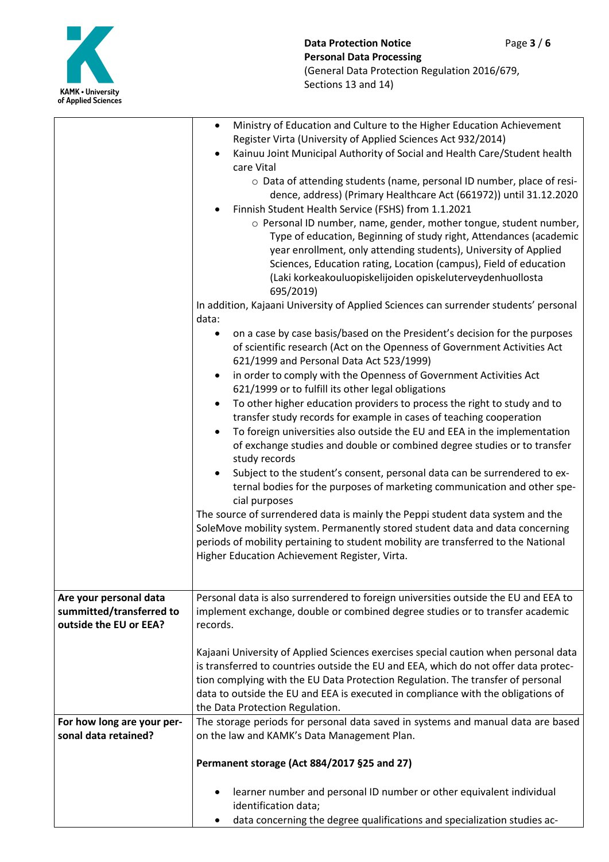

|                                                                              | Ministry of Education and Culture to the Higher Education Achievement<br>$\bullet$<br>Register Virta (University of Applied Sciences Act 932/2014)<br>Kainuu Joint Municipal Authority of Social and Health Care/Student health<br>care Vital<br>o Data of attending students (name, personal ID number, place of resi-                                                                                                                                                                                                                                                                                                                                                                                                                                                                                                                                                                                                                                                                                                                                                                                                                                     |  |  |
|------------------------------------------------------------------------------|-------------------------------------------------------------------------------------------------------------------------------------------------------------------------------------------------------------------------------------------------------------------------------------------------------------------------------------------------------------------------------------------------------------------------------------------------------------------------------------------------------------------------------------------------------------------------------------------------------------------------------------------------------------------------------------------------------------------------------------------------------------------------------------------------------------------------------------------------------------------------------------------------------------------------------------------------------------------------------------------------------------------------------------------------------------------------------------------------------------------------------------------------------------|--|--|
|                                                                              | dence, address) (Primary Healthcare Act (661972)) until 31.12.2020<br>Finnish Student Health Service (FSHS) from 1.1.2021<br>o Personal ID number, name, gender, mother tongue, student number,<br>Type of education, Beginning of study right, Attendances (academic<br>year enrollment, only attending students), University of Applied<br>Sciences, Education rating, Location (campus), Field of education<br>(Laki korkeakouluopiskelijoiden opiskeluterveydenhuollosta                                                                                                                                                                                                                                                                                                                                                                                                                                                                                                                                                                                                                                                                                |  |  |
|                                                                              | 695/2019)<br>In addition, Kajaani University of Applied Sciences can surrender students' personal<br>data:                                                                                                                                                                                                                                                                                                                                                                                                                                                                                                                                                                                                                                                                                                                                                                                                                                                                                                                                                                                                                                                  |  |  |
|                                                                              | on a case by case basis/based on the President's decision for the purposes<br>of scientific research (Act on the Openness of Government Activities Act<br>621/1999 and Personal Data Act 523/1999)<br>in order to comply with the Openness of Government Activities Act<br>621/1999 or to fulfill its other legal obligations<br>To other higher education providers to process the right to study and to<br>$\bullet$<br>transfer study records for example in cases of teaching cooperation<br>To foreign universities also outside the EU and EEA in the implementation<br>of exchange studies and double or combined degree studies or to transfer<br>study records<br>Subject to the student's consent, personal data can be surrendered to ex-<br>ternal bodies for the purposes of marketing communication and other spe-<br>cial purposes<br>The source of surrendered data is mainly the Peppi student data system and the<br>SoleMove mobility system. Permanently stored student data and data concerning<br>periods of mobility pertaining to student mobility are transferred to the National<br>Higher Education Achievement Register, Virta. |  |  |
| Are your personal data<br>summitted/transferred to<br>outside the EU or EEA? | Personal data is also surrendered to foreign universities outside the EU and EEA to<br>implement exchange, double or combined degree studies or to transfer academic<br>records.                                                                                                                                                                                                                                                                                                                                                                                                                                                                                                                                                                                                                                                                                                                                                                                                                                                                                                                                                                            |  |  |
|                                                                              | Kajaani University of Applied Sciences exercises special caution when personal data<br>is transferred to countries outside the EU and EEA, which do not offer data protec-<br>tion complying with the EU Data Protection Regulation. The transfer of personal<br>data to outside the EU and EEA is executed in compliance with the obligations of<br>the Data Protection Regulation.                                                                                                                                                                                                                                                                                                                                                                                                                                                                                                                                                                                                                                                                                                                                                                        |  |  |
| For how long are your per-<br>sonal data retained?                           | The storage periods for personal data saved in systems and manual data are based<br>on the law and KAMK's Data Management Plan.                                                                                                                                                                                                                                                                                                                                                                                                                                                                                                                                                                                                                                                                                                                                                                                                                                                                                                                                                                                                                             |  |  |
|                                                                              | Permanent storage (Act 884/2017 §25 and 27)                                                                                                                                                                                                                                                                                                                                                                                                                                                                                                                                                                                                                                                                                                                                                                                                                                                                                                                                                                                                                                                                                                                 |  |  |
|                                                                              | learner number and personal ID number or other equivalent individual<br>identification data;                                                                                                                                                                                                                                                                                                                                                                                                                                                                                                                                                                                                                                                                                                                                                                                                                                                                                                                                                                                                                                                                |  |  |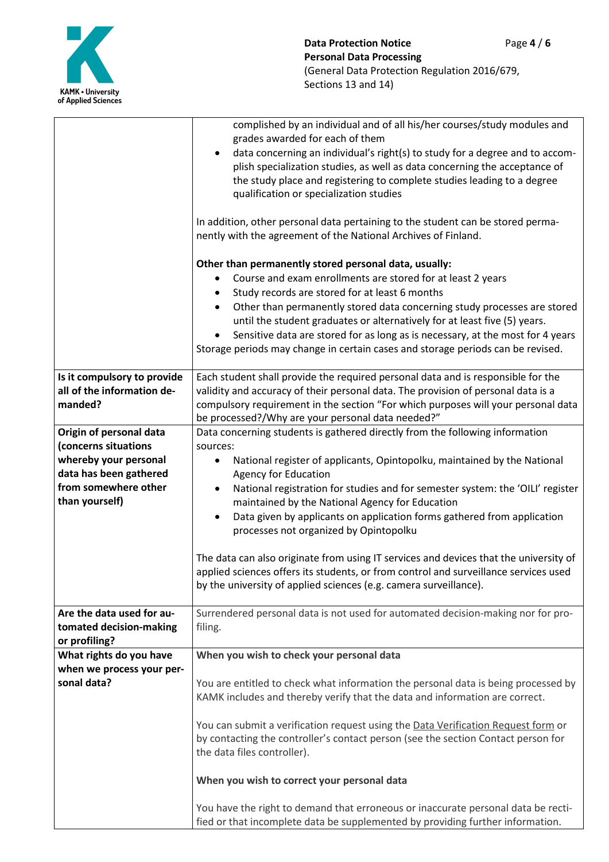

|                                                                                                                                              | complished by an individual and of all his/her courses/study modules and<br>grades awarded for each of them<br>data concerning an individual's right(s) to study for a degree and to accom-<br>plish specialization studies, as well as data concerning the acceptance of<br>the study place and registering to complete studies leading to a degree<br>qualification or specialization studies                                                                                                                                                                                                                                                                                                                                               |  |  |
|----------------------------------------------------------------------------------------------------------------------------------------------|-----------------------------------------------------------------------------------------------------------------------------------------------------------------------------------------------------------------------------------------------------------------------------------------------------------------------------------------------------------------------------------------------------------------------------------------------------------------------------------------------------------------------------------------------------------------------------------------------------------------------------------------------------------------------------------------------------------------------------------------------|--|--|
|                                                                                                                                              | In addition, other personal data pertaining to the student can be stored perma-<br>nently with the agreement of the National Archives of Finland.                                                                                                                                                                                                                                                                                                                                                                                                                                                                                                                                                                                             |  |  |
|                                                                                                                                              | Other than permanently stored personal data, usually:<br>Course and exam enrollments are stored for at least 2 years<br>٠<br>Study records are stored for at least 6 months<br>Other than permanently stored data concerning study processes are stored<br>$\bullet$<br>until the student graduates or alternatively for at least five (5) years.<br>Sensitive data are stored for as long as is necessary, at the most for 4 years<br>Storage periods may change in certain cases and storage periods can be revised.                                                                                                                                                                                                                        |  |  |
| Is it compulsory to provide<br>all of the information de-<br>manded?                                                                         | Each student shall provide the required personal data and is responsible for the<br>validity and accuracy of their personal data. The provision of personal data is a<br>compulsory requirement in the section "For which purposes will your personal data<br>be processed?/Why are your personal data needed?"                                                                                                                                                                                                                                                                                                                                                                                                                               |  |  |
| Origin of personal data<br>(concerns situations<br>whereby your personal<br>data has been gathered<br>from somewhere other<br>than yourself) | Data concerning students is gathered directly from the following information<br>sources:<br>National register of applicants, Opintopolku, maintained by the National<br>$\bullet$<br><b>Agency for Education</b><br>National registration for studies and for semester system: the 'OILI' register<br>maintained by the National Agency for Education<br>Data given by applicants on application forms gathered from application<br>$\bullet$<br>processes not organized by Opintopolku<br>The data can also originate from using IT services and devices that the university of<br>applied sciences offers its students, or from control and surveillance services used<br>by the university of applied sciences (e.g. camera surveillance). |  |  |
| Are the data used for au-<br>tomated decision-making<br>or profiling?                                                                        | Surrendered personal data is not used for automated decision-making nor for pro-<br>filing.                                                                                                                                                                                                                                                                                                                                                                                                                                                                                                                                                                                                                                                   |  |  |
| What rights do you have<br>when we process your per-<br>sonal data?                                                                          | When you wish to check your personal data<br>You are entitled to check what information the personal data is being processed by<br>KAMK includes and thereby verify that the data and information are correct.<br>You can submit a verification request using the Data Verification Request form or<br>by contacting the controller's contact person (see the section Contact person for<br>the data files controller).<br>When you wish to correct your personal data<br>You have the right to demand that erroneous or inaccurate personal data be recti-                                                                                                                                                                                   |  |  |
|                                                                                                                                              | fied or that incomplete data be supplemented by providing further information.                                                                                                                                                                                                                                                                                                                                                                                                                                                                                                                                                                                                                                                                |  |  |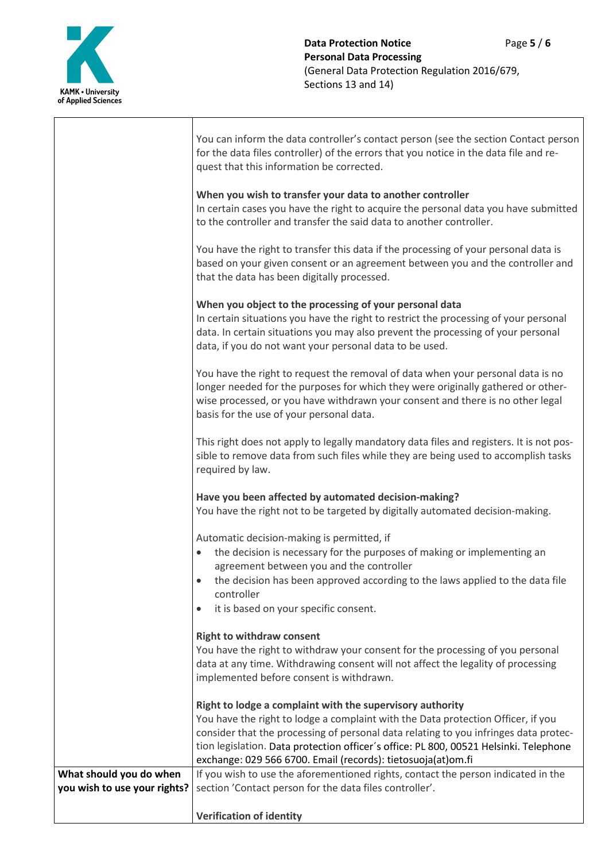

Τ

|                                                         | You can inform the data controller's contact person (see the section Contact person<br>for the data files controller) of the errors that you notice in the data file and re-<br>quest that this information be corrected.                                                                                                                                                                      |
|---------------------------------------------------------|------------------------------------------------------------------------------------------------------------------------------------------------------------------------------------------------------------------------------------------------------------------------------------------------------------------------------------------------------------------------------------------------|
|                                                         | When you wish to transfer your data to another controller<br>In certain cases you have the right to acquire the personal data you have submitted<br>to the controller and transfer the said data to another controller.                                                                                                                                                                        |
|                                                         | You have the right to transfer this data if the processing of your personal data is<br>based on your given consent or an agreement between you and the controller and<br>that the data has been digitally processed.                                                                                                                                                                           |
|                                                         | When you object to the processing of your personal data<br>In certain situations you have the right to restrict the processing of your personal<br>data. In certain situations you may also prevent the processing of your personal<br>data, if you do not want your personal data to be used.                                                                                                 |
|                                                         | You have the right to request the removal of data when your personal data is no<br>longer needed for the purposes for which they were originally gathered or other-<br>wise processed, or you have withdrawn your consent and there is no other legal<br>basis for the use of your personal data.                                                                                              |
|                                                         | This right does not apply to legally mandatory data files and registers. It is not pos-<br>sible to remove data from such files while they are being used to accomplish tasks<br>required by law.                                                                                                                                                                                              |
|                                                         | Have you been affected by automated decision-making?<br>You have the right not to be targeted by digitally automated decision-making.                                                                                                                                                                                                                                                          |
|                                                         | Automatic decision-making is permitted, if<br>the decision is necessary for the purposes of making or implementing an<br>$\bullet$<br>agreement between you and the controller<br>the decision has been approved according to the laws applied to the data file<br>controller<br>it is based on your specific consent.<br>٠                                                                    |
|                                                         | <b>Right to withdraw consent</b><br>You have the right to withdraw your consent for the processing of you personal<br>data at any time. Withdrawing consent will not affect the legality of processing<br>implemented before consent is withdrawn.                                                                                                                                             |
|                                                         | Right to lodge a complaint with the supervisory authority<br>You have the right to lodge a complaint with the Data protection Officer, if you<br>consider that the processing of personal data relating to you infringes data protec-<br>tion legislation. Data protection officer's office: PL 800, 00521 Helsinki. Telephone<br>exchange: 029 566 6700. Email (records): tietosuoja(at)om.fi |
| What should you do when<br>you wish to use your rights? | If you wish to use the aforementioned rights, contact the person indicated in the<br>section 'Contact person for the data files controller'.                                                                                                                                                                                                                                                   |
|                                                         | <b>Verification of identity</b>                                                                                                                                                                                                                                                                                                                                                                |